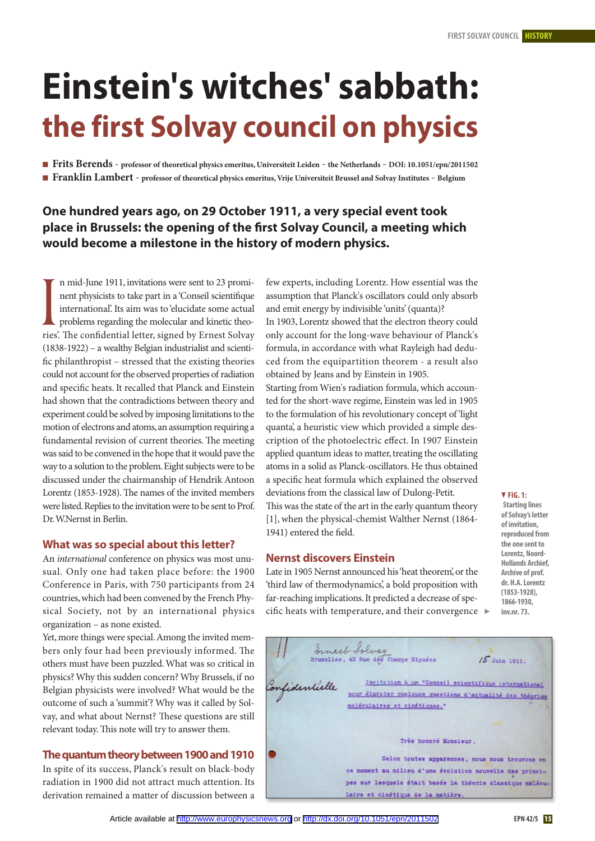# **Einstein's witches' sabbath: the first Solvay council on physics**

Frits Berends - professor of theoretical physics emeritus, Universiteit Leiden - the Netherlands - DOI: 10.1051/epn/2011502

Franklin Lambert - professor of theoretical physics emeritus, Vrije Universiteit Brussel and Solvay Institutes - Belgium

# **One hundred years ago, on 29 October 1911, a very special event took place in Brussels: the opening of the first Solvay Council, a meeting which would become a milestone in the history of modern physics.**

n mid-June 1911, invitations were sent to 23 prominent physicists to take part in a 'Conseil scientifique international'. Its aim was to 'elucidate some actual problems regarding the molecular and kinetic theo-If mud-June 1911, invitations were sent to 23 prom-<br>
nent physicists to take part in a Conseil scientifique<br>
international. Its aim was to 'elucidate some actual<br>
problems regarding the molecular and kinetic theo-<br>
ries'. (1838-1922) – a wealthy Belgian industrialist and scientific philanthropist – stressed that the existing theories could not account for the observed properties of radiation and specific heats. It recalled that Planck and Einstein had shown that the contradictions between theory and experiment could be solved by imposing limitations to the motion of electrons and atoms,an assumption requiring a fundamental revision of current theories. The meeting was said to be convened in the hope that it would pave the way to a solution to the problem. Eight subjects were to be discussed under the chairmanship of Hendrik Antoon Lorentz  $(1853-1928)$ . The names of the invited members were listed. Replies to the invitation were to be sent to Prof. Dr.W.Nernst in Berlin.

# **What was so special about this letter?**

An international conference on physics was most unusual. Only one had taken place before: the 1900 Conference in Paris, with 750 participants from 24 countries,which had been convened by the French Physical Society, not by an international physics organization – as none existed.

Yet, more things were special.Among the invited members only four had been previously informed. The others must have been puzzled.What was so critical in physics?Why this sudden concern?Why Brussels, if no Belgian physicists were involved? What would be the outcome of such a 'summit'? Why was it called by Solvay, and what about Nernst? These questions are still relevant today. This note will try to answer them.

# **Thequantumtheorybetween1900and1910**

In spite of its success, Planck's result on black-body radiation in 1900 did not attract much attention. Its derivation remained a matter of discussion between a few experts, including Lorentz. How essential was the assumption that Planck's oscillators could only absorb and emit energy by indivisible 'units'(quanta)?

In 1903, Lorentz showed that the electron theory could only account for the long-wave behaviour of Planck's formula, in accordance with what Rayleigh had deduced from the equipartition theorem - a result also obtained by Jeans and by Einstein in 1905.

Starting from Wien's radiation formula, which accounted for the short-wave regime, Einstein was led in 1905 to the formulation of his revolutionary concept of 'light quanta', a heuristic view which provided a simple description of the photoelectric effect. In 1907 Einstein applied quantum ideas to matter, treating the oscillating atoms in a solid as Planck-oscillators. He thus obtained a specific heat formula which explained the observed deviations from the classical law of Dulong-Petit. This was the state of the art in the early quantum theory

[1], when the physical-chemist Walther Nernst (1864- 1941) entered the field.

## **Nernst discovers Einstein**

Late in 1905 Nernst announced his 'heat theorem', or the 'third law of thermodynamics', a bold proposition with far-reaching implications.It predicted a decrease of specific heats with temperature, and their convergence  $\blacktriangleright$ 

Ernest Solvay ruxelles, 43 Rue des Champs Elyaées  $15$  Juin 1911. Invitation à un "Conseil scientifique international nfidentielle pour élucider quelques questions d'actualité des théories moléculaires et cinétiques." Très honoré Monsieur. Selon toutes apparences, nous nous trouvons en ce moment au milieu d'une évolution nouvelle des principes sur lesquels était basée la théorie classique maléculaire et cinétique de la matière.

#### - **fig. 1:**

**Starting lines** of Solvay's letter **of invitation, reproduced from the** one sent to Lorentz, Noord-**Hollands archief, archive of prof. dr. H.a.lorentz (1853-1928), 1866-1930, inv.nr. 73.**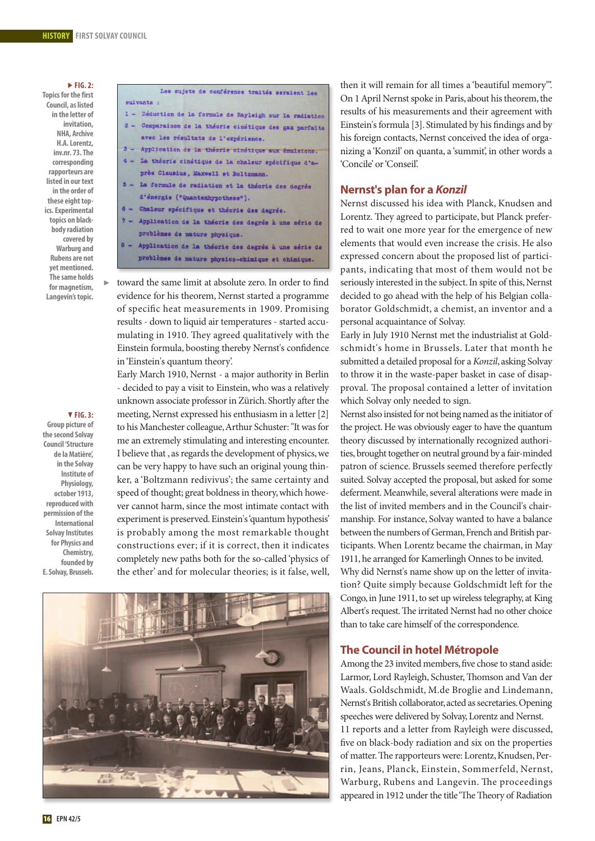#### **fig. 2:**

**Topics for the first Council, aslisted in the letter of invitation, nHa, archive H.a.lorentz, inv.nr. 73.The corresponding rapporteurs are listed** in our text **in the order of** these eight top**ics.** Experimental **topics on blackbodyradiation covered by warburg and rubens are not yetmentioned. The same holds** for magnetism, **langevin'stopic.**

Þ

#### - **fig. 3:**

**group picture of the second Solvay Council 'Structure de lamatière', in the Solvay institute of Physiology, october 1913, reproducedwith permission** of the **international Solvay Institutes for Physics and Chemistry, founded by e.Solvay, brussels.**

Les sujets de conférence traités seraient les suivants : 1 - Déduction de la formule de Rayleigh sur la radiation 2 - Comparaison de la théorie cinétique des gaz parfaits avec les résultats de l'expérience.

- 3 Application de la théorie cinétique aux émulsions.
- 4 La théorie cinétique de la chaleur spécifique d'après Clausius, Maxwell et Boltzmann.
- 5 La formule de radiation et la théorie des degrés d'énergie ("Quantenhypothese").
- 6 Chaleur spécifique et théorie des degrés.
- $7 -$ Application de la théorie des degrés à une série de problèmes de nature physique.
- $A -$ Application de la théorie des degrés à une série de problèmes de nature physico-chimique et chimique.

toward the same limit at absolute zero. In order to find evidence for his theorem, Nernst started a programme of specific heat measurements in 1909. Promising results - down to liquid air temperatures - started accumulating in 1910. They agreed qualitatively with the Einstein formula, boosting thereby Nernst's confidence in'Einstein's quantum theory'.

Early March 1910, Nernst - a major authority in Berlin - decided to pay a visit to Einstein,who was a relatively unknown associate professor in Zürich. Shortly after the meeting, Nernst expressed his enthusiasm in a letter [2] to his Manchester colleague, Arthur Schuster: "It was for me an extremely stimulating and interesting encounter. I believe that, as regards the development of physics, we can be very happy to have such an original young thinker, a 'Boltzmann redivivus'; the same certainty and speed of thought; great boldness in theory, which however cannot harm, since the most intimate contact with experiment is preserved.Einstein's'quantum hypothesis' is probably among the most remarkable thought constructions ever; if it is correct, then it indicates completely new paths both for the so-called 'physics of the ether' and for molecular theories; is it false, well,



then it will remain for all times a 'beautiful memory'". On 1 April Nernst spoke in Paris, about his theorem, the results of his measurements and their agreement with Einstein's formula [3]. Stimulated by his findings and by his foreign contacts, Nernst conceived the idea of organizing a 'Konzil' on quanta, a 'summit', in other words a 'Concile' or'Conseil'.

# **Nernst's plan for a** *Konzil*

Nernst discussed his idea with Planck, Knudsen and Lorentz. They agreed to participate, but Planck preferred to wait one more year for the emergence of new elements that would even increase the crisis. He also expressed concern about the proposed list of participants, indicating that most of them would not be seriously interested in the subject. In spite of this, Nernst decided to go ahead with the help of his Belgian collaborator Goldschmidt, a chemist, an inventor and a personal acquaintance of Solvay.

Early in July 1910 Nernst met the industrialist at Goldschmidt's home in Brussels. Later that month he submitted a detailed proposal for a Konzil, asking Solvay to throw it in the waste-paper basket in case of disapproval. The proposal contained a letter of invitation which Solvay only needed to sign.

Nernst also insisted for not being named asthe initiator of the project.He was obviously eager to have the quantum theory discussed by internationally recognized authorities, brought together on neutral ground by a fair-minded patron of science. Brussels seemed therefore perfectly suited. Solvay accepted the proposal, but asked for some deferment. Meanwhile, several alterations were made in the list of invited members and in the Council's chairmanship. For instance, Solvay wanted to have a balance between the numbers of German, French and British participants. When Lorentz became the chairman, in May 1911,he arranged for Kamerlingh Onnes to be invited. Why did Nernst's name show up on the letter of invitation? Quite simply because Goldschmidt left for the Congo, in June 1911, to set up wireless telegraphy, at King Albert's request. The irritated Nernst had no other choice than to take care himself of the correspondence.

# **The Council in hotel Métropole**

Among the 23 invited members, five chose to stand aside: Larmor, Lord Rayleigh, Schuster, Thomson and Van der Waals. Goldschmidt, M.de Broglie and Lindemann, Nernst's British collaborator, acted as secretaries. Opening speeches were delivered by Solvay,Lorentz and Nernst. 11 reports and a letter from Rayleigh were discussed, five on black-body radiation and six on the properties of matter. The rapporteurs were: Lorentz, Knudsen, Perrin, Jeans, Planck, Einstein, Sommerfeld, Nernst, Warburg, Rubens and Langevin. The proceedings appeared in 1912 under the title 'The Theory of Radiation